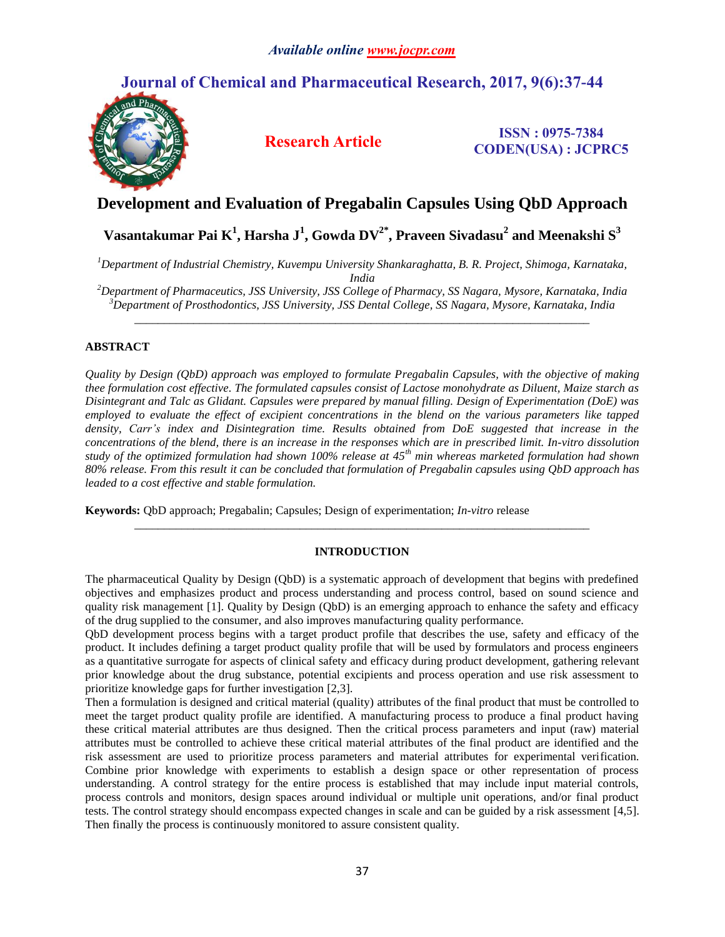# **Journal of Chemical and Pharmaceutical Research, 2017, 9(6):37-44**



**Research Article ISSN : 0975-7384 CODEN(USA) : JCPRC5**

# **Development and Evaluation of Pregabalin Capsules Using QbD Approach**

# **Vasantakumar Pai K 1 , Harsha J<sup>1</sup> , Gowda DV2\*, Praveen Sivadasu<sup>2</sup> and Meenakshi S 3**

*<sup>1</sup>Department of Industrial Chemistry, Kuvempu University Shankaraghatta, B. R. Project, Shimoga, Karnataka, India*

*<sup>2</sup>Department of Pharmaceutics, JSS University, JSS College of Pharmacy, SS Nagara, Mysore, Karnataka, India <sup>3</sup>Department of Prosthodontics, JSS University, JSS Dental College, SS Nagara, Mysore, Karnataka, India* \_\_\_\_\_\_\_\_\_\_\_\_\_\_\_\_\_\_\_\_\_\_\_\_\_\_\_\_\_\_\_\_\_\_\_\_\_\_\_\_\_\_\_\_\_\_\_\_\_\_\_\_\_\_\_\_\_\_\_\_\_\_\_\_\_\_\_\_\_\_\_\_\_\_\_\_\_

## **ABSTRACT**

*Quality by Design (QbD) approach was employed to formulate Pregabalin Capsules, with the objective of making thee formulation cost effective. The formulated capsules consist of Lactose monohydrate as Diluent, Maize starch as Disintegrant and Talc as Glidant. Capsules were prepared by manual filling. Design of Experimentation (DoE) was employed to evaluate the effect of excipient concentrations in the blend on the various parameters like tapped density, Carr's index and Disintegration time. Results obtained from DoE suggested that increase in the concentrations of the blend, there is an increase in the responses which are in prescribed limit. In-vitro dissolution study of the optimized formulation had shown 100% release at 45th min whereas marketed formulation had shown 80% release. From this result it can be concluded that formulation of Pregabalin capsules using QbD approach has leaded to a cost effective and stable formulation.* 

**Keywords:** QbD approach; Pregabalin; Capsules; Design of experimentation; *In-vitro* release

## **INTRODUCTION**

\_\_\_\_\_\_\_\_\_\_\_\_\_\_\_\_\_\_\_\_\_\_\_\_\_\_\_\_\_\_\_\_\_\_\_\_\_\_\_\_\_\_\_\_\_\_\_\_\_\_\_\_\_\_\_\_\_\_\_\_\_\_\_\_\_\_\_\_\_\_\_\_\_\_\_\_\_

The pharmaceutical Quality by Design (QbD) is a systematic approach of development that begins with predefined objectives and emphasizes product and process understanding and process control, based on sound science and quality risk management [1]. Quality by Design (QbD) is an emerging approach to enhance the safety and efficacy of the drug supplied to the consumer, and also improves manufacturing quality performance.

QbD development process begins with a target product profile that describes the use, safety and efficacy of the product. It includes defining a target product quality profile that will be used by formulators and process engineers as a quantitative surrogate for aspects of clinical safety and efficacy during product development, gathering relevant prior knowledge about the drug substance, potential excipients and process operation and use risk assessment to prioritize knowledge gaps for further investigation [2,3].

Then a formulation is designed and critical material (quality) attributes of the final product that must be controlled to meet the target product quality profile are identified. A manufacturing process to produce a final product having these critical material attributes are thus designed. Then the critical process parameters and input (raw) material attributes must be controlled to achieve these critical material attributes of the final product are identified and the risk assessment are used to prioritize process parameters and material attributes for experimental verification. Combine prior knowledge with experiments to establish a design space or other representation of process understanding. A control strategy for the entire process is established that may include input material controls, process controls and monitors, design spaces around individual or multiple unit operations, and/or final product tests. The control strategy should encompass expected changes in scale and can be guided by a risk assessment [4,5]. Then finally the process is continuously monitored to assure consistent quality.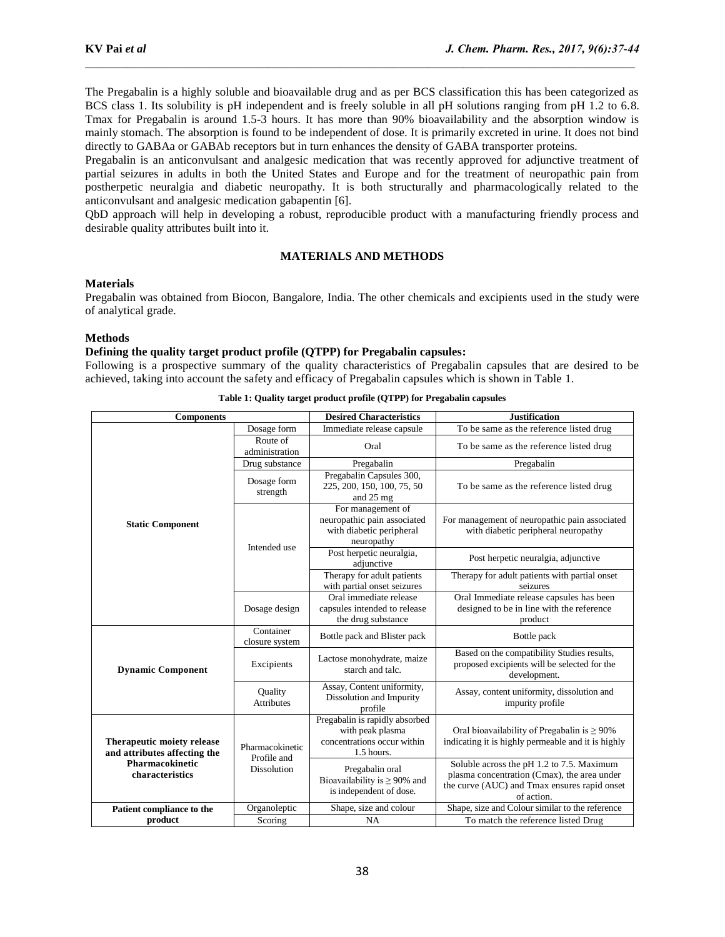The Pregabalin is a highly soluble and bioavailable drug and as per BCS classification this has been categorized as BCS class 1. Its solubility is pH independent and is freely soluble in all pH solutions ranging from pH 1.2 to 6.8. Tmax for Pregabalin is around 1.5-3 hours. It has more than 90% bioavailability and the absorption window is mainly stomach. The absorption is found to be independent of dose. It is primarily excreted in urine. It does not bind directly to GABAa or GABAb receptors but in turn enhances the density of GABA transporter proteins.

Pregabalin is an anticonvulsant and analgesic medication that was recently approved for adjunctive treatment of partial seizures in adults in both the United States and Europe and for the treatment of neuropathic pain from postherpetic neuralgia and diabetic neuropathy. It is both structurally and pharmacologically related to the anticonvulsant and analgesic medication gabapentin [6].

QbD approach will help in developing a robust, reproducible product with a manufacturing friendly process and desirable quality attributes built into it.

## **MATERIALS AND METHODS**

## **Materials**

Pregabalin was obtained from Biocon, Bangalore, India. The other chemicals and excipients used in the study were of analytical grade.

#### **Methods**

#### **Defining the quality target product profile (QTPP) for Pregabalin capsules:**

Following is a prospective summary of the quality characteristics of Pregabalin capsules that are desired to be achieved, taking into account the safety and efficacy of Pregabalin capsules which is shown in Table 1.

|                                                                                                        |                                                                                                   | <b>Desired Characteristics</b>                                                                  | <b>Justification</b>                                                                                                                                   |
|--------------------------------------------------------------------------------------------------------|---------------------------------------------------------------------------------------------------|-------------------------------------------------------------------------------------------------|--------------------------------------------------------------------------------------------------------------------------------------------------------|
|                                                                                                        | Dosage form                                                                                       | Immediate release capsule                                                                       | To be same as the reference listed drug                                                                                                                |
|                                                                                                        | Route of<br>administration                                                                        | Oral                                                                                            | To be same as the reference listed drug                                                                                                                |
|                                                                                                        | Drug substance                                                                                    | Pregabalin                                                                                      | Pregabalin                                                                                                                                             |
| <b>Components</b><br><b>Static Component</b><br><b>Dynamic Component</b><br>Therapeutic moiety release | Dosage form<br>strength                                                                           | Pregabalin Capsules 300,<br>225, 200, 150, 100, 75, 50<br>and $25 \text{ mg}$                   | To be same as the reference listed drug                                                                                                                |
|                                                                                                        |                                                                                                   | For management of<br>neuropathic pain associated<br>with diabetic peripheral<br>neuropathy      | For management of neuropathic pain associated<br>with diabetic peripheral neuropathy                                                                   |
|                                                                                                        | Intended use<br>Dosage design<br>Container<br>closure system<br>Excipients                        | Post herpetic neuralgia,<br>adiunctive                                                          | Post herpetic neuralgia, adjunctive                                                                                                                    |
|                                                                                                        |                                                                                                   | Therapy for adult patients<br>with partial onset seizures                                       | Therapy for adult patients with partial onset<br>seizures                                                                                              |
|                                                                                                        |                                                                                                   | Oral immediate release<br>capsules intended to release<br>the drug substance                    | Oral Immediate release capsules has been<br>designed to be in line with the reference<br>product                                                       |
|                                                                                                        |                                                                                                   | Bottle pack and Blister pack                                                                    | Bottle pack                                                                                                                                            |
|                                                                                                        | Ouality<br>Attributes<br>Pharmacokinetic<br>Profile and<br>Dissolution<br>Organoleptic<br>Scoring | Lactose monohydrate, maize<br>starch and talc.                                                  | Based on the compatibility Studies results,<br>proposed excipients will be selected for the<br>development.                                            |
|                                                                                                        |                                                                                                   | Assay, Content uniformity,<br>Dissolution and Impurity<br>profile                               | Assay, content uniformity, dissolution and<br>impurity profile                                                                                         |
| and attributes affecting the                                                                           |                                                                                                   | Pregabalin is rapidly absorbed<br>with peak plasma<br>concentrations occur within<br>1.5 hours. | Oral bioavailability of Pregabalin is $\geq 90\%$<br>indicating it is highly permeable and it is highly                                                |
| Pharmacokinetic<br>characteristics                                                                     |                                                                                                   | Pregabalin oral<br>Bioavailability is $\geq$ 90% and<br>is independent of dose.                 | Soluble across the pH 1.2 to 7.5. Maximum<br>plasma concentration (Cmax), the area under<br>the curve (AUC) and Tmax ensures rapid onset<br>of action. |
| Patient compliance to the                                                                              |                                                                                                   | Shape, size and colour                                                                          | Shape, size and Colour similar to the reference                                                                                                        |
| product                                                                                                |                                                                                                   | <b>NA</b>                                                                                       | To match the reference listed Drug                                                                                                                     |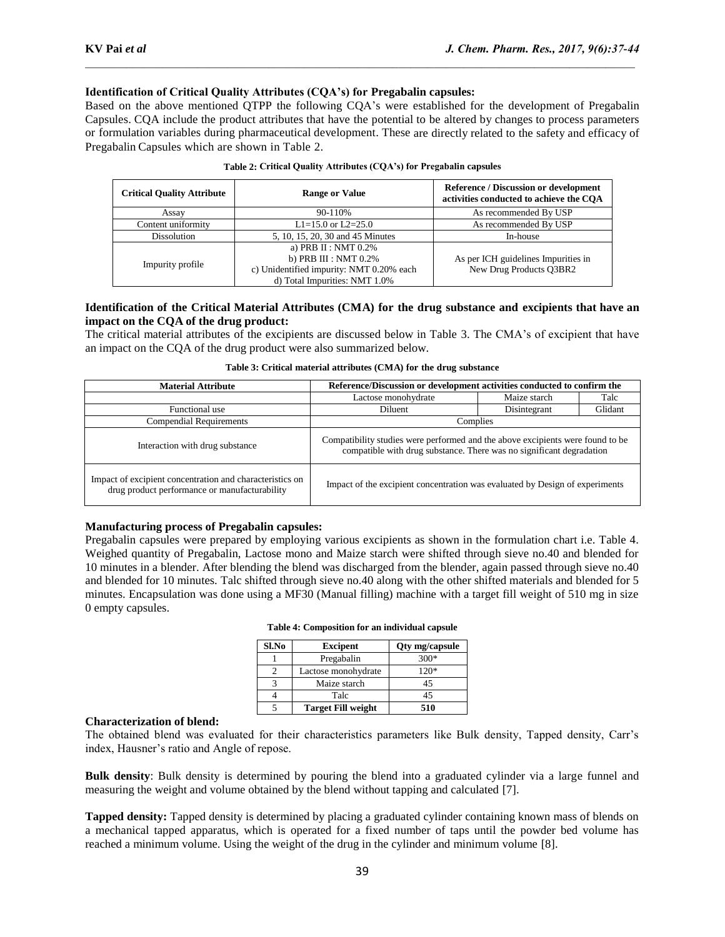## **Identification of Critical Quality Attributes (CQA's) for Pregabalin capsules:**

Based on the above mentioned QTPP the following CQA's were established for the development of Pregabalin Capsules. CQA include the product attributes that have the potential to be altered by changes to process parameters or formulation variables during pharmaceutical development. These are directly related to the safety and efficacy of Pregabalin Capsules which are shown in Table 2.

| <b>Critical Quality Attribute</b> | <b>Range or Value</b>                                                                                                         | <b>Reference / Discussion or development</b><br>activities conducted to achieve the COA |  |  |  |
|-----------------------------------|-------------------------------------------------------------------------------------------------------------------------------|-----------------------------------------------------------------------------------------|--|--|--|
| Assav                             | 90-110%                                                                                                                       | As recommended By USP                                                                   |  |  |  |
| Content uniformity                | L1=15.0 or L2=25.0                                                                                                            | As recommended By USP                                                                   |  |  |  |
| <b>Dissolution</b>                | 5, 10, 15, 20, 30 and 45 Minutes                                                                                              | In-house                                                                                |  |  |  |
| Impurity profile                  | a) PRB II : NMT 0.2%<br>b) PRB III : NMT $0.2\%$<br>c) Unidentified impurity: NMT 0.20% each<br>d) Total Impurities: NMT 1.0% | As per ICH guidelines Impurities in<br>New Drug Products O3BR2                          |  |  |  |

#### **Table 2: Critical Quality Attributes (CQA's) for Pregabalin capsules**

## **Identification of the Critical Material Attributes (CMA) for the drug substance and excipients that have an impact on the CQA of the drug product:**

The critical material attributes of the excipients are discussed below in Table 3. The CMA's of excipient that have an impact on the CQA of the drug product were also summarized below.

| <b>Material Attribute</b>                                                                                 | Reference/Discussion or development activities conducted to confirm the                                                                                |              |         |  |  |  |  |
|-----------------------------------------------------------------------------------------------------------|--------------------------------------------------------------------------------------------------------------------------------------------------------|--------------|---------|--|--|--|--|
|                                                                                                           | Maize starch<br>Lactose monohydrate                                                                                                                    |              |         |  |  |  |  |
| Functional use                                                                                            | Diluent                                                                                                                                                | Disintegrant | Glidant |  |  |  |  |
| <b>Compendial Requirements</b>                                                                            |                                                                                                                                                        | Complies     |         |  |  |  |  |
| Interaction with drug substance                                                                           | Compatibility studies were performed and the above excipients were found to be<br>compatible with drug substance. There was no significant degradation |              |         |  |  |  |  |
| Impact of excipient concentration and characteristics on<br>drug product performance or manufacturability | Impact of the excipient concentration was evaluated by Design of experiments                                                                           |              |         |  |  |  |  |

# **Manufacturing process of Pregabalin capsules:**

Pregabalin capsules were prepared by employing various excipients as shown in the formulation chart i.e. Table 4. Weighed quantity of Pregabalin, Lactose mono and Maize starch were shifted through sieve no.40 and blended for 10 minutes in a blender. After blending the blend was discharged from the blender, again passed through sieve no.40 and blended for 10 minutes. Talc shifted through sieve no.40 along with the other shifted materials and blended for 5 minutes. Encapsulation was done using a MF30 (Manual filling) machine with a target fill weight of 510 mg in size 0 empty capsules.

| Sl.No | <b>Excipent</b>           | Qty mg/capsule |
|-------|---------------------------|----------------|
|       | Pregabalin                | $300*$         |
|       | Lactose monohydrate       | $120*$         |
|       | Maize starch              | 45             |
|       | Talc                      | 45             |
|       | <b>Target Fill weight</b> | 510            |

**Table 4: Composition for an individual capsule**

### **Characterization of blend:**

The obtained blend was evaluated for their characteristics parameters like Bulk density, Tapped density, Carr's index, Hausner's ratio and Angle of repose.

**Bulk density**: Bulk density is determined by pouring the blend into a graduated cylinder via a large funnel and measuring the weight and volume obtained by the blend without tapping and calculated [7].

**Tapped density:** Tapped density is determined by placing a graduated cylinder containing known mass of blends on a mechanical tapped apparatus, which is operated for a fixed number of taps until the powder bed volume has reached a minimum volume. Using the weight of the drug in the cylinder and minimum volume [8].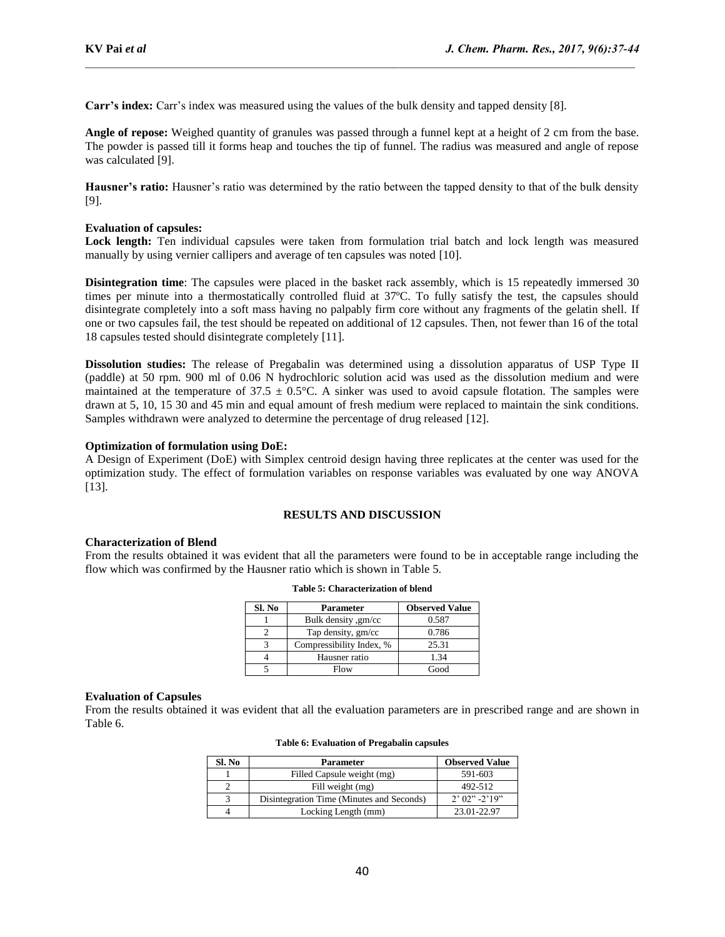**Carr's index:** Carr's index was measured using the values of the bulk density and tapped density [8].

**Angle of repose:** Weighed quantity of granules was passed through a funnel kept at a height of 2 cm from the base. The powder is passed till it forms heap and touches the tip of funnel. The radius was measured and angle of repose was calculated [9].

**Hausner's ratio:** Hausner's ratio was determined by the ratio between the tapped density to that of the bulk density [9].

## **Evaluation of capsules:**

Lock length: Ten individual capsules were taken from formulation trial batch and lock length was measured manually by using vernier callipers and average of ten capsules was noted [10].

**Disintegration time**: The capsules were placed in the basket rack assembly, which is 15 repeatedly immersed 30 times per minute into a thermostatically controlled fluid at 37ºC. To fully satisfy the test, the capsules should disintegrate completely into a soft mass having no palpably firm core without any fragments of the gelatin shell. If one or two capsules fail, the test should be repeated on additional of 12 capsules. Then, not fewer than 16 of the total 18 capsules tested should disintegrate completely [11].

**Dissolution studies:** The release of Pregabalin was determined using a dissolution apparatus of USP Type II (paddle) at 50 rpm. 900 ml of 0.06 N hydrochloric solution acid was used as the dissolution medium and were maintained at the temperature of  $37.5 \pm 0.5^{\circ}$ C. A sinker was used to avoid capsule flotation. The samples were drawn at 5, 10, 15 30 and 45 min and equal amount of fresh medium were replaced to maintain the sink conditions. Samples withdrawn were analyzed to determine the percentage of drug released [12].

## **Optimization of formulation using DoE:**

A Design of Experiment (DoE) with Simplex centroid design having three replicates at the center was used for the optimization study. The effect of formulation variables on response variables was evaluated by one way ANOVA [13].

## **RESULTS AND DISCUSSION**

#### **Characterization of Blend**

From the results obtained it was evident that all the parameters were found to be in acceptable range including the flow which was confirmed by the Hausner ratio which is shown in Table 5.

| Sl. No | <b>Parameter</b>         | <b>Observed Value</b> |
|--------|--------------------------|-----------------------|
|        | Bulk density, gm/cc      | 0.587                 |
|        | Tap density, gm/cc       | 0.786                 |
|        | Compressibility Index, % | 25.31                 |
|        | Hausner ratio            | 1.34                  |
|        | Flow                     | Good                  |

#### **Table 5: Characterization of blend**

#### **Evaluation of Capsules**

From the results obtained it was evident that all the evaluation parameters are in prescribed range and are shown in Table 6.

| Sl. No | <b>Parameter</b>                          | <b>Observed Value</b> |
|--------|-------------------------------------------|-----------------------|
|        | Filled Capsule weight (mg)                | 591-603               |
|        | Fill weight (mg)                          | 492-512               |
| 3      | Disintegration Time (Minutes and Seconds) | $2'$ 02" -2'19"       |
|        | Locking Length (mm)                       | 23.01-22.97           |

**Table 6: Evaluation of Pregabalin capsules**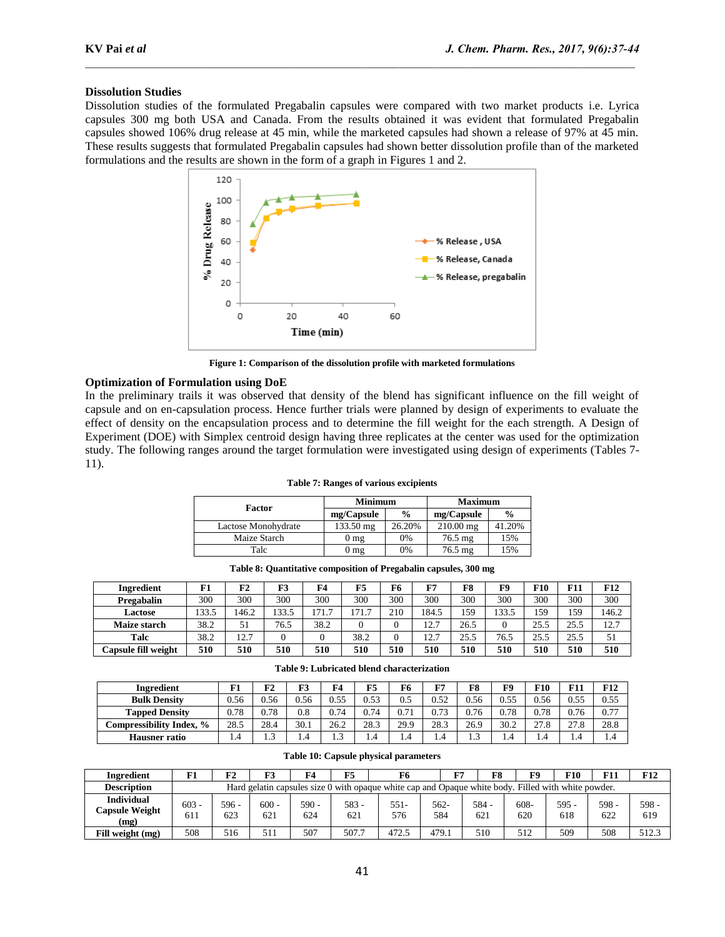#### **Dissolution Studies**

Dissolution studies of the formulated Pregabalin capsules were compared with two market products i.e. Lyrica capsules 300 mg both USA and Canada. From the results obtained it was evident that formulated Pregabalin capsules showed 106% drug release at 45 min, while the marketed capsules had shown a release of 97% at 45 min. These results suggests that formulated Pregabalin capsules had shown better dissolution profile than of the marketed formulations and the results are shown in the form of a graph in Figures 1 and 2.



**Figure 1: Comparison of the dissolution profile with marketed formulations**

#### **Optimization of Formulation using DoE**

In the preliminary trails it was observed that density of the blend has significant influence on the fill weight of capsule and on en-capsulation process. Hence further trials were planned by design of experiments to evaluate the effect of density on the encapsulation process and to determine the fill weight for the each strength. A Design of Experiment (DOE) with Simplex centroid design having three replicates at the center was used for the optimization study. The following ranges around the target formulation were investigated using design of experiments (Tables 7- 11).

| Factor              | <b>Minimum</b>  |               | <b>Maximum</b>    |               |  |  |
|---------------------|-----------------|---------------|-------------------|---------------|--|--|
|                     | mg/Capsule      | $\frac{0}{0}$ | mg/Capsule        | $\frac{0}{0}$ |  |  |
| Lactose Monohydrate | 133.50 mg       | 26.20%        | $210.00$ mg       | 41.20%        |  |  |
| Maize Starch        | 0 <sub>mg</sub> | 0%            | $76.5 \text{ mg}$ | 15%           |  |  |
| Talc                | $0 \text{ mg}$  | 0%            | $76.5 \text{ mg}$ | 15%           |  |  |

**Table 7: Ranges of various excipients**

| Ingredient          | F1    | F2    | F3    | F4    | F5                   | F6  | <b>F7</b>   | F8   | F9    | F10  | F11  | F12   |
|---------------------|-------|-------|-------|-------|----------------------|-----|-------------|------|-------|------|------|-------|
| Pregabalin          | 300   | 300   | 300   | 300   | 300                  | 300 | 300         | 300  | 300   | 300  | 300  | 300   |
| Lactose             | 133.5 | 146.2 | 133.5 | 171.7 | $\overline{ }$<br>71 | 210 | 184.5       | 159  | 133.5 | 159  | 159  | 146.2 |
| Maize starch        | 38.2  | 51    | 76.5  | 38.2  |                      |     | 177<br>14., | 26.5 |       | 25.5 | 25.5 | 12.7  |
| Talc                | 38.2  | 12.7  |       |       | 38.2                 |     | 127<br>14.  | 25.5 | 76.5  | 25.5 | 25.5 | 51    |
| Capsule fill weight | 510   | 510   | 510   | 510   | 510                  | 510 | 510         | 510  | 510   | 510  | 510  | 510   |

**Table 8: Quantitative composition of Pregabalin capsules, 300 mg**

| Ingredient               | F1   | F2             | F3   | F4            | F5   | F6   | F7   | F8   | F9   | F10  | г 11                         | F12  |
|--------------------------|------|----------------|------|---------------|------|------|------|------|------|------|------------------------------|------|
| <b>Bulk Density</b>      | 0.56 | 0.56           | 0.56 | 0.55          | 0.53 | 0.5  | 0.52 | 0.56 | 0.55 | 0.56 | 0.55                         | 0.55 |
| <b>Tapped Density</b>    | 0.78 | 0.78           | 0.8  | 0.74          | 0.74 | 0.71 | 0.73 | 0.76 | 0.78 | 0.78 | 0.76                         | 0.77 |
| Compressibility Index. % | 28.5 | 28.4           | 30.1 | 26.2          | 28.3 | 29.9 | 28.3 | 26.9 | 30.2 | 27.8 | $\sim$<br>$^{\circ}$<br>21.8 | 28.8 |
| <b>Hausner</b> ratio     | 4.4  | $\sim$<br>ر. . | 1.4  | $\sim$<br>ن د | 1.4  | 4.4  | 1.4  | ر. د | 1.4  | 1.4  | 4.4                          | 1.4  |

**Table 9: Lubricated blend characterization**

| <b>Ingredient</b>                           | 171            | F2                                                                                                  | F3             | F4             | F5             | F6            | 正ワ            | F8             | F9             | F10        | <b>F11</b> | <b>F12</b>   |
|---------------------------------------------|----------------|-----------------------------------------------------------------------------------------------------|----------------|----------------|----------------|---------------|---------------|----------------|----------------|------------|------------|--------------|
| Description                                 |                | Hard gelatin capsules size 0 with opaque white cap and Opaque white body. Filled with white powder. |                |                |                |               |               |                |                |            |            |              |
| <b>Individual</b><br>Capsule Weight<br>(mg) | $603 -$<br>611 | $596 -$<br>623                                                                                      | $600 -$<br>621 | $590 -$<br>624 | $583 -$<br>621 | $551-$<br>576 | $562-$<br>584 | $584 -$<br>621 | $608 -$<br>620 | 595<br>618 | 598<br>622 | 598 -<br>619 |
| Fill weight (mg)                            | 508            | 516                                                                                                 | 511            | 507            | 507.7          | 472.5         | 479.1         | 510            | 512            | 509        | 508        | 512.3        |

**Table 10: Capsule physical parameters**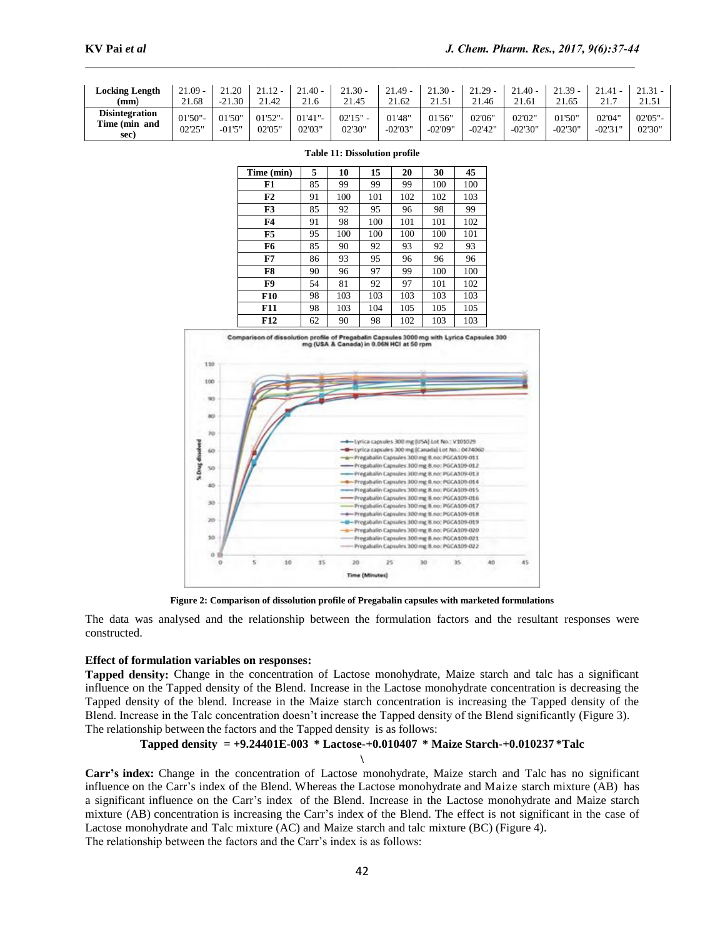| Locking Length                         | $21.09 -$  | 21.20    | $21.12 -$ | $21.40 -$ | $21.30 -$ | $21.49 -$ | $21.30 -$ | $21.29 -$ | $21.40 -$ | $21.39 -$ | 21.41     | 21.31  |
|----------------------------------------|------------|----------|-----------|-----------|-----------|-----------|-----------|-----------|-----------|-----------|-----------|--------|
| (mm)                                   | 21.68      | $-21.30$ | 21.42     | 21.6      | 21.45     | 21.62     | 21.51     | 21.46     | 21.61     | 21.65     | 21.7      | 21.51  |
| <b>Disintegration</b><br>Time (min and | $01'50"$ - | 01'50"   | 01'52"    | 01'41"    | 02'15"    | 01'48"    | 01'56"    | 02'06"    | 02'02"    | 01'50"    | 02'04"    | 02'05" |
| sec)                                   | 02'25"     | $-01'5"$ | 02'05"    | 02'03"    | 02'30"    | $-02'03"$ | -02'09"   | $-02'42"$ | $-02'30"$ | -02'30"   | $-02'31"$ | 02'30" |

| Time (min) | 5  | 10  | 15  | 20  | 30  | 45  |
|------------|----|-----|-----|-----|-----|-----|
| F1         | 85 | 99  | 99  | 99  | 100 | 100 |
| F2         | 91 | 100 | 101 | 102 | 102 | 103 |
| F3         | 85 | 92  | 95  | 96  | 98  | 99  |
| F4         | 91 | 98  | 100 | 101 | 101 | 102 |
| F5         | 95 | 100 | 100 | 100 | 100 | 101 |
| F6         | 85 | 90  | 92  | 93  | 92  | 93  |
| F7         | 86 | 93  | 95  | 96  | 96  | 96  |
| F8         | 90 | 96  | 97  | 99  | 100 | 100 |
| F9         | 54 | 81  | 92  | 97  | 101 | 102 |
| <b>F10</b> | 98 | 103 | 103 | 103 | 103 | 103 |
| <b>F11</b> | 98 | 103 | 104 | 105 | 105 | 105 |
| F12        | 62 | 90  | 98  | 102 | 103 | 103 |

**Table 11: Dissolution profile**



**Figure 2: Comparison of dissolution profile of Pregabalin capsules with marketed formulations**

The data was analysed and the relationship between the formulation factors and the resultant responses were constructed.

#### **Effect of formulation variables on responses:**

**Tapped density:** Change in the concentration of Lactose monohydrate, Maize starch and talc has a significant influence on the Tapped density of the Blend. Increase in the Lactose monohydrate concentration is decreasing the Tapped density of the blend. Increase in the Maize starch concentration is increasing the Tapped density of the Blend. Increase in the Talc concentration doesn't increase the Tapped density of the Blend significantly (Figure 3). The relationship between the factors and the Tapped density is as follows:

#### **Tapped density = +9.24401E-003 \* Lactose-+0.010407 \* Maize Starch-+0.010237 \*Talc**

**\**

**Carr's index:** Change in the concentration of Lactose monohydrate, Maize starch and Talc has no significant influence on the Carr's index of the Blend. Whereas the Lactose monohydrate and Maize starch mixture (AB) has a significant influence on the Carr's index of the Blend. Increase in the Lactose monohydrate and Maize starch mixture (AB) concentration is increasing the Carr's index of the Blend. The effect is not significant in the case of Lactose monohydrate and Talc mixture (AC) and Maize starch and talc mixture (BC) (Figure 4). The relationship between the factors and the Carr's index is as follows: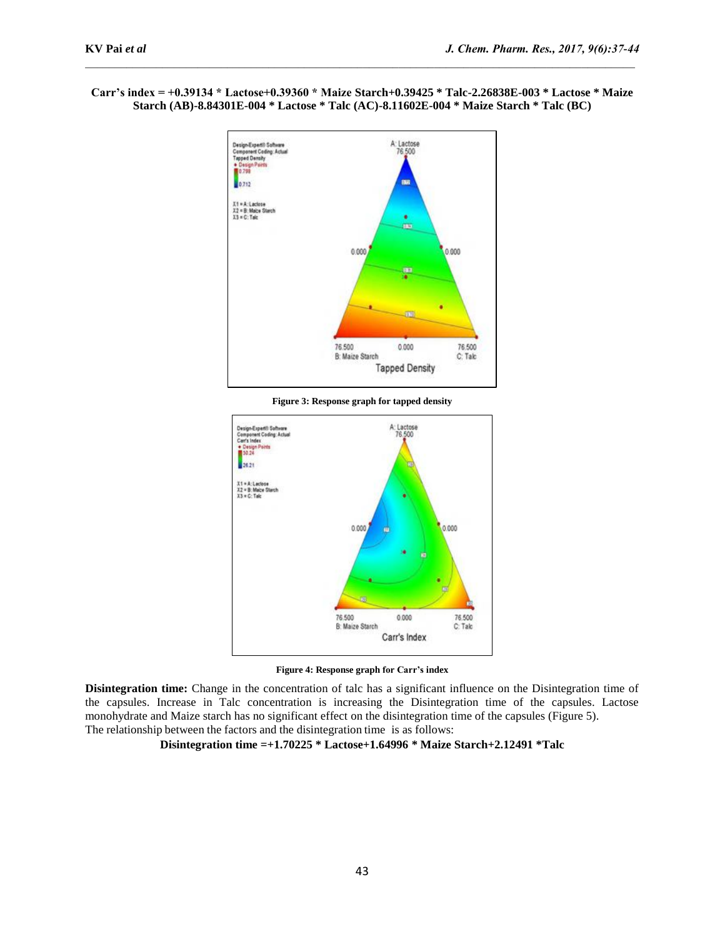# **Carr's index = +0.39134 \* Lactose+0.39360 \* Maize Starch+0.39425 \* Talc-2.26838E-003 \* Lactose \* Maize Starch (AB)-8.84301E-004 \* Lactose \* Talc (AC)-8.11602E-004 \* Maize Starch \* Talc (BC)**



**Figure 3: Response graph for tapped density**



**Figure 4: Response graph for Carr's index**

**Disintegration time:** Change in the concentration of talc has a significant influence on the Disintegration time of the capsules. Increase in Talc concentration is increasing the Disintegration time of the capsules. Lactose monohydrate and Maize starch has no significant effect on the disintegration time of the capsules (Figure 5). The relationship between the factors and the disintegration time is as follows:

**Disintegration time =+1.70225 \* Lactose+1.64996 \* Maize Starch+2.12491 \*Talc**